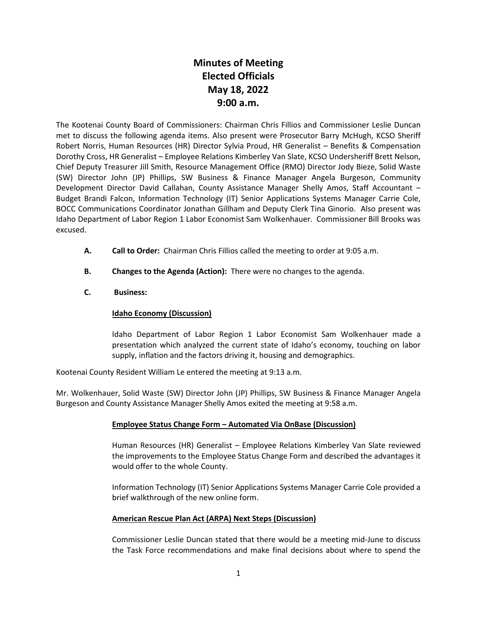# **Minutes of Meeting Elected Officials May 18, 2022 9:00 a.m.**

The Kootenai County Board of Commissioners: Chairman Chris Fillios and Commissioner Leslie Duncan met to discuss the following agenda items. Also present were Prosecutor Barry McHugh, KCSO Sheriff Robert Norris, Human Resources (HR) Director Sylvia Proud, HR Generalist – Benefits & Compensation Dorothy Cross, HR Generalist – Employee Relations Kimberley Van Slate, KCSO Undersheriff Brett Nelson, Chief Deputy Treasurer Jill Smith, Resource Management Office (RMO) Director Jody Bieze, Solid Waste (SW) Director John (JP) Phillips, SW Business & Finance Manager Angela Burgeson, Community Development Director David Callahan, County Assistance Manager Shelly Amos, Staff Accountant – Budget Brandi Falcon, Information Technology (IT) Senior Applications Systems Manager Carrie Cole, BOCC Communications Coordinator Jonathan Gillham and Deputy Clerk Tina Ginorio. Also present was Idaho Department of Labor Region 1 Labor Economist Sam Wolkenhauer. Commissioner Bill Brooks was excused.

- **A. Call to Order:** Chairman Chris Fillios called the meeting to order at 9:05 a.m.
- **B. Changes to the Agenda (Action):** There were no changes to the agenda.

## **C. Business:**

### **Idaho Economy (Discussion)**

Idaho Department of Labor Region 1 Labor Economist Sam Wolkenhauer made a presentation which analyzed the current state of Idaho's economy, touching on labor supply, inflation and the factors driving it, housing and demographics.

Kootenai County Resident William Le entered the meeting at 9:13 a.m.

Mr. Wolkenhauer, Solid Waste (SW) Director John (JP) Phillips, SW Business & Finance Manager Angela Burgeson and County Assistance Manager Shelly Amos exited the meeting at 9:58 a.m.

### **Employee Status Change Form – Automated Via OnBase (Discussion)**

Human Resources (HR) Generalist – Employee Relations Kimberley Van Slate reviewed the improvements to the Employee Status Change Form and described the advantages it would offer to the whole County.

Information Technology (IT) Senior Applications Systems Manager Carrie Cole provided a brief walkthrough of the new online form.

### **American Rescue Plan Act (ARPA) Next Steps (Discussion)**

Commissioner Leslie Duncan stated that there would be a meeting mid-June to discuss the Task Force recommendations and make final decisions about where to spend the